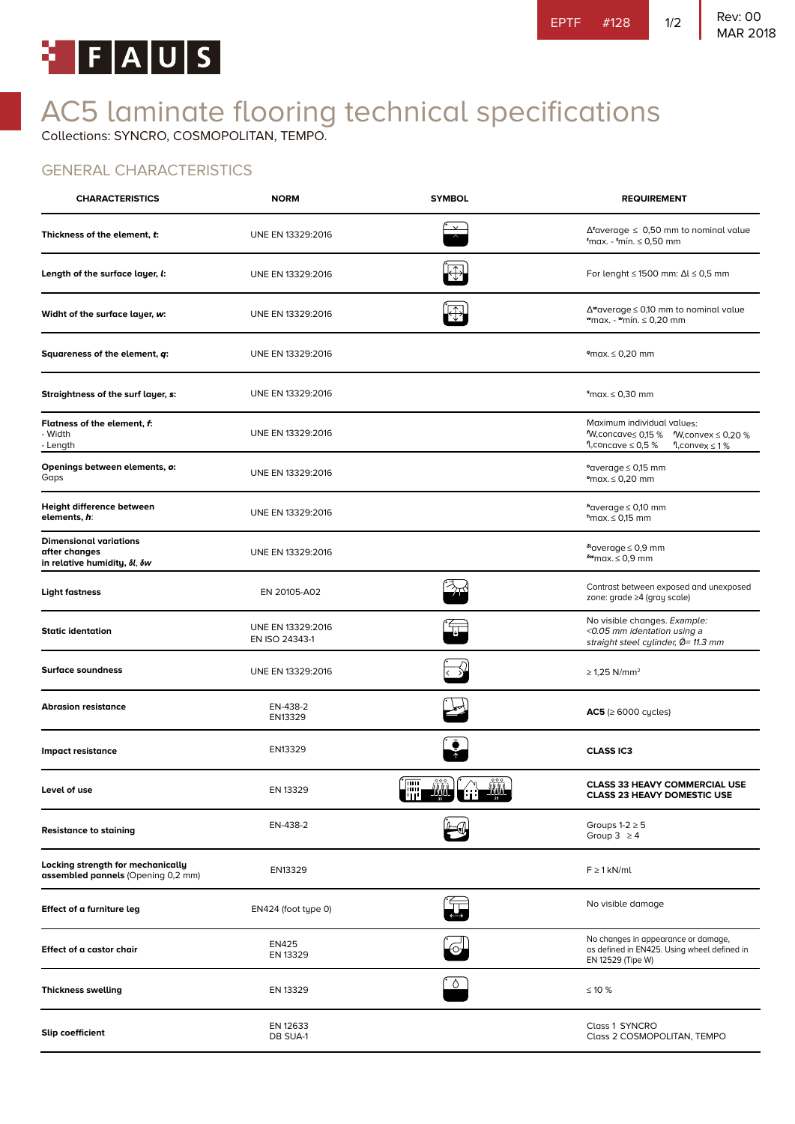

# AC5 laminate flooring technical specifications

Collections: SYNCRO, COSMOPOLITAN, TEMPO.

#### GENERAL CHARACTERISTICS

| <b>CHARACTERISTICS</b>                                                                          | <b>NORM</b>                         | <b>SYMBOL</b>                                                                                                                                                                                                                  | <b>REQUIREMENT</b>                                                                                                                |
|-------------------------------------------------------------------------------------------------|-------------------------------------|--------------------------------------------------------------------------------------------------------------------------------------------------------------------------------------------------------------------------------|-----------------------------------------------------------------------------------------------------------------------------------|
| Thickness of the element, t:                                                                    | UNE EN 13329:2016                   |                                                                                                                                                                                                                                | $\Delta^t$ average $\leq 0.50$ mm to nominal value<br>$t$ max. - $t$ mín. $\leq 0.50$ mm                                          |
| Length of the surface layer, l:                                                                 | UNE EN 13329:2016                   |                                                                                                                                                                                                                                | For lenght $\leq$ 1500 mm: $\Delta l \leq 0.5$ mm                                                                                 |
| Widht of the surface layer, w:                                                                  | UNE EN 13329:2016                   | $\overline{\oplus}$                                                                                                                                                                                                            | $\Delta$ "average $\leq$ 0,10 mm to nominal value<br>wmax. - wmín. ≤ 0,20 mm                                                      |
| Squareness of the element, q:                                                                   | UNE EN 13329:2016                   |                                                                                                                                                                                                                                | $9$ max. $\leq 0,20$ mm                                                                                                           |
| Straightness of the surf layer, s:                                                              | UNE EN 13329:2016                   |                                                                                                                                                                                                                                | $\text{max.} \leq 0,30 \text{ mm}$                                                                                                |
| Flatness of the element, f:<br>- Width<br>- Length                                              | UNE EN 13329:2016                   |                                                                                                                                                                                                                                | Maximum individual values:<br><sup>1</sup> W,concave≤ 0,15 %<br>$W$ , convex $\leq 0.20$ %<br>¶,concave ≤ 0,5 %<br>1, convex ≤ 1% |
| Openings between elements, o:<br>Gaps                                                           | UNE EN 13329:2016                   |                                                                                                                                                                                                                                | °average ≤ 0,15 mm<br>$max.5 \le 0.20$ mm                                                                                         |
| Height difference between<br>elements, h:                                                       | UNE EN 13329:2016                   |                                                                                                                                                                                                                                | $h$ average $\leq$ 0,10 mm<br>$h$ max. $\leq 0.15$ mm                                                                             |
| <b>Dimensional variations</b><br>after changes<br>in relative humidity, $\delta l$ , $\delta w$ | UNE EN 13329:2016                   |                                                                                                                                                                                                                                | $^{61}$ average $\leq$ 0,9 mm<br>$\delta w$ max. $\leq 0.9$ mm                                                                    |
| <b>Light fastness</b>                                                                           | EN 20105-A02                        |                                                                                                                                                                                                                                | Contrast between exposed and unexposed<br>zone: grade ≥4 (gray scale)                                                             |
| <b>Static identation</b>                                                                        | UNE EN 13329:2016<br>EN ISO 24343-1 |                                                                                                                                                                                                                                | No visible changes. Example:<br><0.05 mm identation using a<br>straight steel cylinder, Ø= 11.3 mm                                |
| <b>Surface soundness</b>                                                                        | UNE EN 13329:2016                   |                                                                                                                                                                                                                                | $\geq$ 1,25 N/mm <sup>2</sup>                                                                                                     |
| <b>Abrasion resistance</b>                                                                      | EN-438-2<br>EN13329                 |                                                                                                                                                                                                                                | $AC5 \geq 6000$ cycles)                                                                                                           |
| Impact resistance                                                                               | EN13329                             |                                                                                                                                                                                                                                | <b>CLASS IC3</b>                                                                                                                  |
| Level of use                                                                                    | EN 13329                            | time the control of the control of the control of the control of the control of the control of the control of the control of the control of the control of the control of the control of the control of the control of the con | <b>CLASS 33 HEAVY COMMERCIAL USE</b><br><b>CLASS 23 HEAVY DOMESTIC USE</b>                                                        |
| <b>Resistance to staining</b>                                                                   | EN-438-2                            |                                                                                                                                                                                                                                | Groups $1-2 \geq 5$<br>Group $3 \geq 4$                                                                                           |
| Locking strength for mechanically<br>assembled pannels (Opening 0,2 mm)                         | EN13329                             |                                                                                                                                                                                                                                | $F \geq 1$ kN/ml                                                                                                                  |
| Effect of a furniture leg                                                                       | EN424 (foot type 0)                 |                                                                                                                                                                                                                                | No visible damage                                                                                                                 |
| Effect of a castor chair                                                                        | <b>EN425</b><br>EN 13329            |                                                                                                                                                                                                                                | No changes in appearance or damage,<br>as defined in EN425. Using wheel defined in<br>EN 12529 (Tipe W)                           |
| <b>Thickness swelling</b>                                                                       | EN 13329                            | $\circ$                                                                                                                                                                                                                        | ≤ 10 %                                                                                                                            |
| <b>Slip coefficient</b>                                                                         | EN 12633<br>DB SUA-1                |                                                                                                                                                                                                                                | Class 1 SYNCRO<br>Class 2 COSMOPOLITAN, TEMPO                                                                                     |